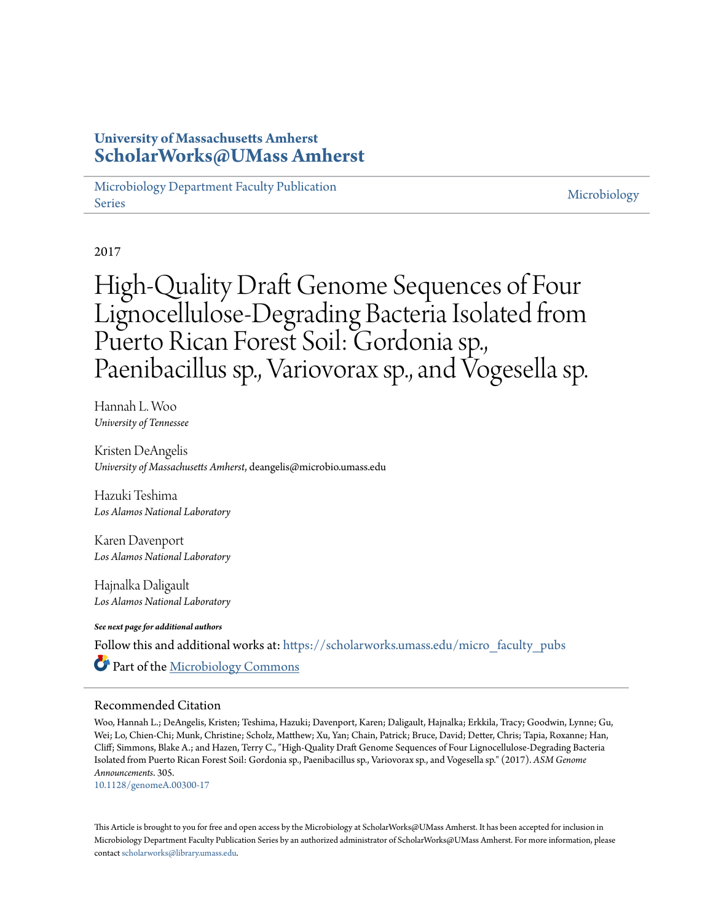### **University of Massachusetts Amherst [ScholarWorks@UMass Amherst](https://scholarworks.umass.edu?utm_source=scholarworks.umass.edu%2Fmicro_faculty_pubs%2F305&utm_medium=PDF&utm_campaign=PDFCoverPages)**

[Microbiology Department Faculty Publication](https://scholarworks.umass.edu/micro_faculty_pubs?utm_source=scholarworks.umass.edu%2Fmicro_faculty_pubs%2F305&utm_medium=PDF&utm_campaign=PDFCoverPages) [Series](https://scholarworks.umass.edu/micro_faculty_pubs?utm_source=scholarworks.umass.edu%2Fmicro_faculty_pubs%2F305&utm_medium=PDF&utm_campaign=PDFCoverPages)

[Microbiology](https://scholarworks.umass.edu/micro?utm_source=scholarworks.umass.edu%2Fmicro_faculty_pubs%2F305&utm_medium=PDF&utm_campaign=PDFCoverPages)

2017

# High-Quality Draft Genome Sequences of Four Lignocellulose-Degrading Bacteria Isolated from Puerto Rican Forest Soil: Gordonia sp., Paenibacillus sp., Variovorax sp., and Vogesella sp.

Hannah L. Woo *University of Tennessee*

Kristen DeAngelis *University of Massachusetts Amherst*, deangelis@microbio.umass.edu

Hazuki Teshima *Los Alamos National Laboratory*

Karen Davenport *Los Alamos National Laboratory*

Hajnalka Daligault *Los Alamos National Laboratory*

*See next page for additional authors*

Follow this and additional works at: [https://scholarworks.umass.edu/micro\\_faculty\\_pubs](https://scholarworks.umass.edu/micro_faculty_pubs?utm_source=scholarworks.umass.edu%2Fmicro_faculty_pubs%2F305&utm_medium=PDF&utm_campaign=PDFCoverPages) Part of the [Microbiology Commons](http://network.bepress.com/hgg/discipline/48?utm_source=scholarworks.umass.edu%2Fmicro_faculty_pubs%2F305&utm_medium=PDF&utm_campaign=PDFCoverPages)

#### Recommended Citation

Woo, Hannah L.; DeAngelis, Kristen; Teshima, Hazuki; Davenport, Karen; Daligault, Hajnalka; Erkkila, Tracy; Goodwin, Lynne; Gu, Wei; Lo, Chien-Chi; Munk, Christine; Scholz, Matthew; Xu, Yan; Chain, Patrick; Bruce, David; Detter, Chris; Tapia, Roxanne; Han, Cliff; Simmons, Blake A.; and Hazen, Terry C., "High-Quality Draft Genome Sequences of Four Lignocellulose-Degrading Bacteria Isolated from Puerto Rican Forest Soil: Gordonia sp., Paenibacillus sp., Variovorax sp., and Vogesella sp." (2017). *ASM Genome Announcements*. 305.

<10.1128/genomeA.00300-17>

This Article is brought to you for free and open access by the Microbiology at ScholarWorks@UMass Amherst. It has been accepted for inclusion in Microbiology Department Faculty Publication Series by an authorized administrator of ScholarWorks@UMass Amherst. For more information, please contact [scholarworks@library.umass.edu](mailto:scholarworks@library.umass.edu).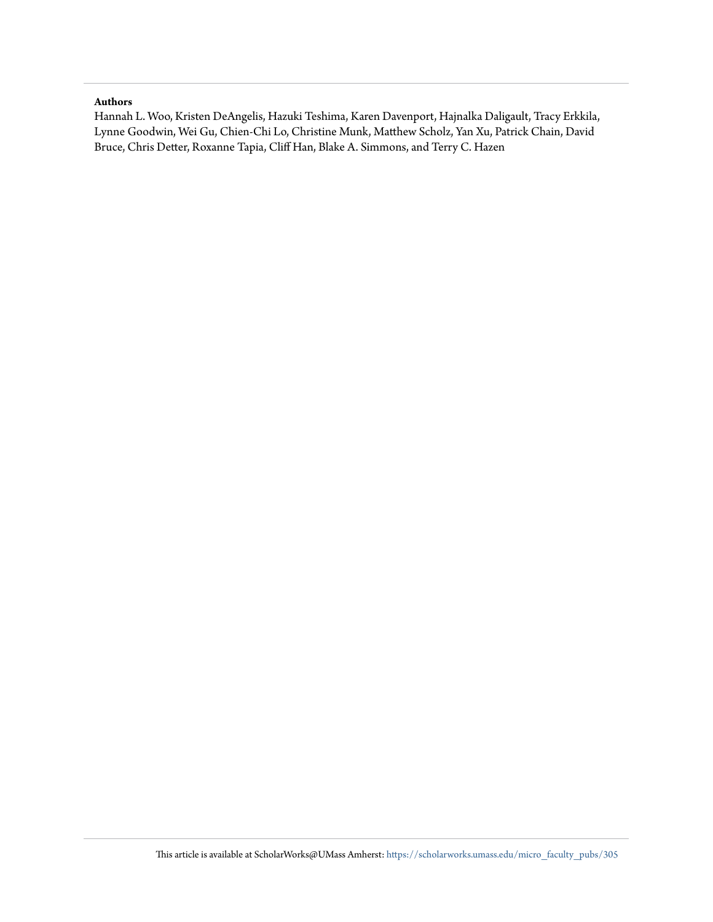#### **Authors**

Hannah L. Woo, Kristen DeAngelis, Hazuki Teshima, Karen Davenport, Hajnalka Daligault, Tracy Erkkila, Lynne Goodwin, Wei Gu, Chien-Chi Lo, Christine Munk, Matthew Scholz, Yan Xu, Patrick Chain, David Bruce, Chris Detter, Roxanne Tapia, Cliff Han, Blake A. Simmons, and Terry C. Hazen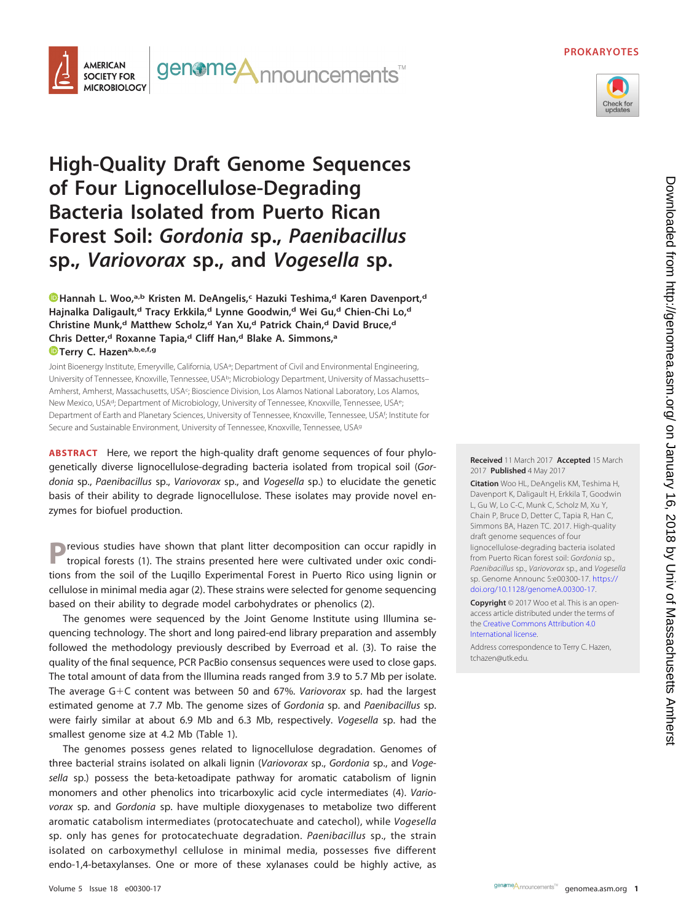#### **PROKARYOTES**



#### genome**A**nnouncements<sup>™</sup> **AMERICAN SOCIETY FOR MICROBIOLOGY**

## **High-Quality Draft Genome Sequences of Four Lignocellulose-Degrading Bacteria Isolated from Puerto Rican Forest Soil: Gordonia sp., Paenibacillus sp., Variovorax sp., and Vogesella sp.**

**D**[Hannah L. Woo,](http://orcid.org/0000-0002-9342-6072)<sup>a,b</sup> Kristen M. DeAngelis,<sup>c</sup> Hazuki Teshima,<sup>d</sup> Karen Davenport,<sup>d</sup> **Hajnalka Daligault,d Tracy Erkkila,d Lynne Goodwin,d Wei Gu,d Chien-Chi Lo,d Christine Munk,d Matthew Scholz,d Yan Xu,d Patrick Chain,d David Bruce,d Chris Detter,d Roxanne Tapia,d Cliff Han,d Blake A. Simmons,a [Terry C. Hazena](http://orcid.org/0000-0002-2536-9993),b,e,f,g**

Joint Bioenergy Institute, Emeryville, California, USA<sup>a</sup>; Department of Civil and Environmental Engineering, University of Tennessee, Knoxville, Tennessee, USA<sup>b</sup>; Microbiology Department, University of Massachusetts-Amherst, Amherst, Massachusetts, USA<sup>c</sup>; Bioscience Division, Los Alamos National Laboratory, Los Alamos, New Mexico, USA<sup>d</sup>; Department of Microbiology, University of Tennessee, Knoxville, Tennessee, USA<sup>e</sup>; Department of Earth and Planetary Sciences, University of Tennessee, Knoxville, Tennessee, USAf ; Institute for Secure and Sustainable Environment, University of Tennessee, Knoxville, Tennessee, USAg

**ABSTRACT** Here, we report the high-quality draft genome sequences of four phylogenetically diverse lignocellulose-degrading bacteria isolated from tropical soil (Gordonia sp., Paenibacillus sp., Variovorax sp., and Vogesella sp.) to elucidate the genetic basis of their ability to degrade lignocellulose. These isolates may provide novel enzymes for biofuel production.

**P** revious studies have shown that plant litter decomposition can occur rapidly in tropical forests [\(1\)](#page-3-0). The strains presented here were cultivated under oxic conditions from the soil of the Luqillo Experimental Forest in Puerto Rico using lignin or cellulose in minimal media agar [\(2\)](#page-3-1). These strains were selected for genome sequencing based on their ability to degrade model carbohydrates or phenolics [\(2\)](#page-3-1).

The genomes were sequenced by the Joint Genome Institute using Illumina sequencing technology. The short and long paired-end library preparation and assembly followed the methodology previously described by Everroad et al. [\(3\)](#page-3-2). To raise the quality of the final sequence, PCR PacBio consensus sequences were used to close gaps. The total amount of data from the Illumina reads ranged from 3.9 to 5.7 Mb per isolate. The average G+C content was between 50 and 67%. Variovorax sp. had the largest estimated genome at 7.7 Mb. The genome sizes of Gordonia sp. and Paenibacillus sp. were fairly similar at about 6.9 Mb and 6.3 Mb, respectively. Vogesella sp. had the smallest genome size at 4.2 Mb [\(Table 1\)](#page-3-3).

The genomes possess genes related to lignocellulose degradation. Genomes of three bacterial strains isolated on alkali lignin (Variovorax sp., Gordonia sp., and Vogesella sp.) possess the beta-ketoadipate pathway for aromatic catabolism of lignin monomers and other phenolics into tricarboxylic acid cycle intermediates [\(4\)](#page-3-4). Variovorax sp. and Gordonia sp. have multiple dioxygenases to metabolize two different aromatic catabolism intermediates (protocatechuate and catechol), while Vogesella sp. only has genes for protocatechuate degradation. Paenibacillus sp., the strain isolated on carboxymethyl cellulose in minimal media, possesses five different endo-1,4-betaxylanses. One or more of these xylanases could be highly active, as

**Received** 11 March 2017 **Accepted** 15 March 2017 **Published** 4 May 2017

**Citation** Woo HL, DeAngelis KM, Teshima H, Davenport K, Daligault H, Erkkila T, Goodwin L, Gu W, Lo C-C, Munk C, Scholz M, Xu Y, Chain P, Bruce D, Detter C, Tapia R, Han C, Simmons BA, Hazen TC. 2017. High-quality draft genome sequences of four lignocellulose-degrading bacteria isolated from Puerto Rican forest soil: Gordonia sp., Paenibacillus sp., Variovorax sp., and Vogesella sp. Genome Announc 5:e00300-17. [https://](https://doi.org/10.1128/genomeA.00300-17) [doi.org/10.1128/genomeA.00300-17.](https://doi.org/10.1128/genomeA.00300-17)

**Copyright** © 2017 Woo et al. This is an openaccess article distributed under the terms of the [Creative Commons Attribution 4.0](http://creativecommons.org/licenses/by/4.0/) [International](http://creativecommons.org/licenses/by/4.0/) license.

Address correspondence to Terry C. Hazen, [tchazen@utk.edu.](mailto:tchazen@utk.edu)